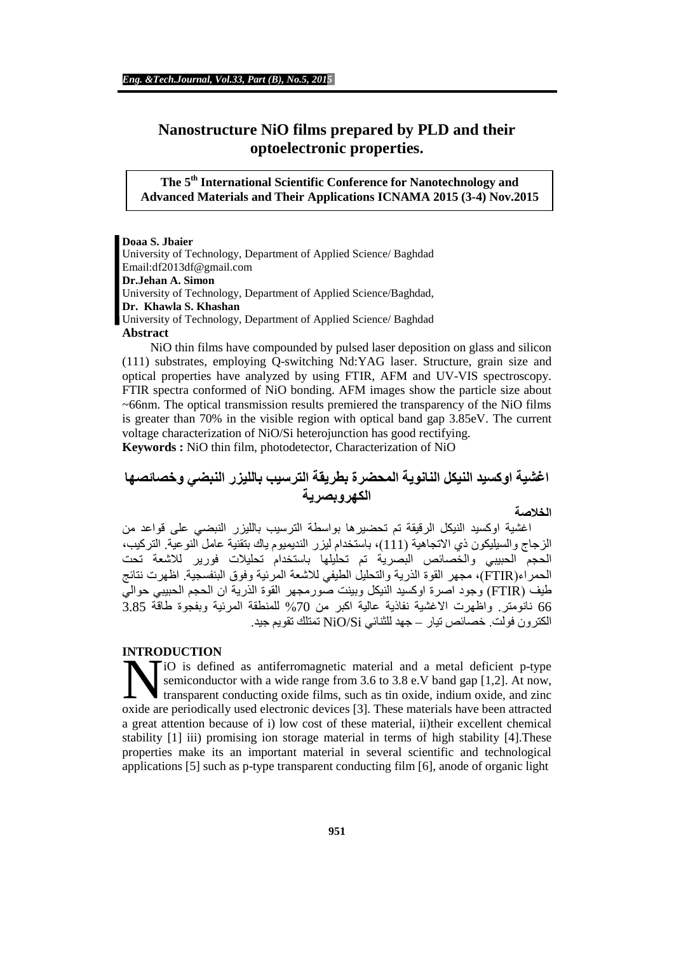# **Nanostructure NiO films prepared by PLD and their optoelectronic properties.**

**The 5th International Scientific Conference for Nanotechnology and Advanced Materials and Their Applications ICNAMA 2015 (3-4) Nov.2015**

**Doaa S. Jbaier** University of Technology, Department of Applied Science/ Baghdad [Email:df2013df@gmail.com](mailto:df2013df@gmail.com) **Dr.Jehan A. Simon** University of Technology, Department of Applied Science/Baghdad, **Dr. Khawla S. Khashan** University of Technology, Department of Applied Science/ Baghdad

#### **Abstract**

 NiO thin films have compounded by pulsed laser deposition on glass and silicon (111) substrates, employing Q-switching Nd:YAG laser. Structure, grain size and optical properties have analyzed by using FTIR, AFM and UV-VIS spectroscopy. FTIR spectra conformed of NiO bonding. AFM images show the particle size about  $\sim$ 66nm. The optical transmission results premiered the transparency of the NiO films is greater than 70% in the visible region with optical band gap 3.85eV. The current voltage characterization of NiO/Si heterojunction has good rectifying.

**Keywords :** NiO thin film, photodetector, Characterization of NiO

# **اغشیة اوكسید النیكل النانویة المحضرة بطریقة الترسیب باللیزر النبضي وخصائصھا الكھروبصریة**

#### **الخلاصة**

 اغشیة اوكسید النیكل الرقیقة تم تحضیرھا بواسطة الترسیب باللیزر النبضي على قواعد من الزجاج والسیلیكون ذي الاتجاھیة (111)، باستخدام لیزر الندیمیوم یاك بتقنیة عامل النوعیة. التركیب، الحجم الحبیبي والخصائص البصریة تم تحلیلھا باستخدام تحلیلات فوریر للاشعة تحت الحمراء(FTIR(، مجھر القوة الذریة والتحلیل الطیفي للاشعة المرئیة وفوق البنفسجیة. اظھرت نتائج طیف (FTIR (وجود اصرة اوكسید النیكل وبینت صورمجھر القوة الذریة ان الحجم الحبیبي حوالي 66 نانومتر. واظھرت الاغشیة نفاذیة عالیة اكبر من %70 للمنطقة المرئیة وبفجوة طاقة 3.85 الكترون فولت. خصائص تیار – جھد للثنائي Si/NiO تمتلك تقویم جید.

## **INTRODUCTION**

iO is defined as antiferromagnetic material and a metal deficient p-type semiconductor with a wide range from 3.6 to 3.8 e.V band gap [1,2]. At now, transparent conducting oxide films, such as tin oxide, indium oxide, and zinc **SECUTE:** (i) is defined as antiferromagnetic material and a metal deficient p-type semiconductor with a wide range from 3.6 to 3.8 e.V band gap [1,2]. At now, transparent conducting oxide films, such as tin oxide, indium a great attention because of i) low cost of these material, ii)their excellent chemical stability [1] iii) promising ion storage material in terms of high stability [4].These properties make its an important material in several scientific and technological applications [5] such as p-type transparent conducting film [6], anode of organic light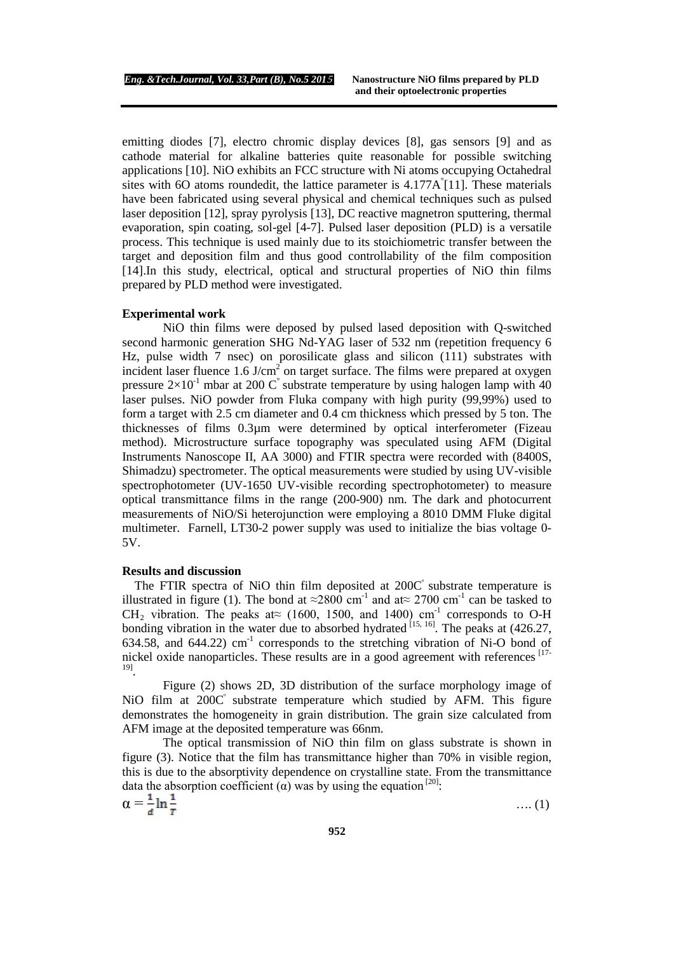emitting diodes [7], electro chromic display devices [8], gas sensors [9] and as cathode material for alkaline batteries quite reasonable for possible switching applications [10]. NiO exhibits an FCC structure with Ni atoms occupying Octahedral sites with 6O atoms roundedit, the lattice parameter is  $4.177A^{2}[11]$ . These materials have been fabricated using several physical and chemical techniques such as pulsed laser deposition [12], spray pyrolysis [13], DC reactive magnetron sputtering, thermal evaporation, spin coating, sol-gel [4-7]. Pulsed laser deposition (PLD) is a versatile process. This technique is used mainly due to its stoichiometric transfer between the target and deposition film and thus good controllability of the film composition [14].In this study, electrical, optical and structural properties of NiO thin films prepared by PLD method were investigated.

#### **Experimental work**

NiO thin films were deposed by pulsed lased deposition with Q-switched second harmonic generation SHG Nd-YAG laser of 532 nm (repetition frequency 6 Hz, pulse width 7 nsec) on porosilicate glass and silicon (111) substrates with incident laser fluence 1.6 J/cm<sup>2</sup> on target surface. The films were prepared at oxygen pressure  $2\times10^{-1}$  mbar at 200 C° substrate temperature by using halogen lamp with 40 laser pulses. NiO powder from Fluka company with high purity (99,99%) used to form a target with 2.5 cm diameter and 0.4 cm thickness which pressed by 5 ton. The thicknesses of films 0.3µm were determined by optical interferometer (Fizeau method). Microstructure surface topography was speculated using AFM (Digital Instruments Nanoscope II, AA 3000) and FTIR spectra were recorded with (8400S, Shimadzu) spectrometer. The optical measurements were studied by using UV-visible spectrophotometer (UV-1650 UV-visible recording spectrophotometer) to measure optical transmittance films in the range (200-900) nm. The dark and photocurrent measurements of NiO/Si heterojunction were employing a 8010 DMM Fluke digital multimeter. Farnell, LT30-2 power supply was used to initialize the bias voltage 0- 5V.

#### **Results and discussion**

The FTIR spectra of NiO thin film deposited at  $200C<sup>°</sup>$  substrate temperature is illustrated in figure (1). The bond at ≈2800 cm<sup>-1</sup> and at≈ 2700 cm<sup>-1</sup> can be tasked to CH<sub>2</sub> vibration. The peaks at≈ (1600, 1500, and 1400) cm<sup>-1</sup> corresponds to O-H bonding vibration in the water due to absorbed hydrated  $^{[15, 16]}$ . The peaks at (426.27, 634.58, and 644.22)  $\text{cm}^{-1}$  corresponds to the stretching vibration of Ni-O bond of nickel oxide nanoparticles. These results are in a good agreement with references  $17-$ 19].

Figure (2) shows 2D, 3D distribution of the surface morphology image of NiO film at  $200C<sup>o</sup>$  substrate temperature which studied by AFM. This figure demonstrates the homogeneity in grain distribution. The grain size calculated from AFM image at the deposited temperature was 66nm.

The optical transmission of NiO thin film on glass substrate is shown in figure (3). Notice that the film has transmittance higher than 70% in visible region, this is due to the absorptivity dependence on crystalline state. From the transmittance data the absorption coefficient (α) was by using the equation  $[20]$ :

 $\alpha = \frac{1}{a} \ln \frac{1}{r}$  (1)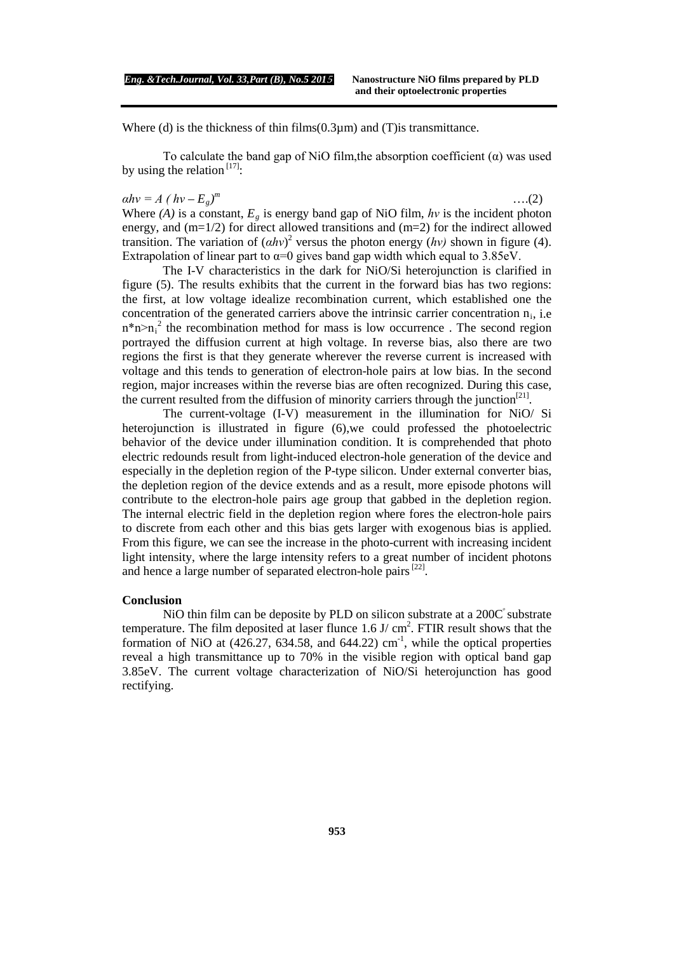Where (d) is the thickness of thin  $films(0.3µm)$  and (T) is transmittance.

To calculate the band gap of NiO film, the absorption coefficient  $(\alpha)$  was used by using the relation  $[17]$ :

# $a h v = A (h v - E_g)^m$

*<sup>m</sup>* ….(2) Where  $(A)$  is a constant,  $E_g$  is energy band gap of NiO film,  $hv$  is the incident photon energy, and (m=1/2) for direct allowed transitions and (m=2) for the indirect allowed transition. The variation of  $(ahv)^2$  versus the photon energy  $(hv)$  shown in figure (4). Extrapolation of linear part to  $\alpha=0$  gives band gap width which equal to 3.85eV.

The I-V characteristics in the dark for NiO/Si heterojunction is clarified in figure (5). The results exhibits that the current in the forward bias has two regions: the first, at low voltage idealize recombination current, which established one the concentration of the generated carriers above the intrinsic carrier concentration  $n_i$ , i.e.  $n^*n>n_i^2$  the recombination method for mass is low occurrence. The second region portrayed the diffusion current at high voltage. In reverse bias, also there are two regions the first is that they generate wherever the reverse current is increased with voltage and this tends to generation of electron-hole pairs at low bias. In the second region, major increases within the reverse bias are often recognized. During this case, the current resulted from the diffusion of minority carriers through the junction<sup>[21]</sup>.

The current-voltage (I-V) measurement in the illumination for NiO/ Si heterojunction is illustrated in figure (6),we could professed the photoelectric behavior of the device under illumination condition. It is comprehended that photo electric redounds result from light-induced electron-hole generation of the device and especially in the depletion region of the P-type silicon. Under external converter bias, the depletion region of the device extends and as a result, more episode photons will contribute to the electron-hole pairs age group that gabbed in the depletion region. The internal electric field in the depletion region where fores the electron-hole pairs to discrete from each other and this bias gets larger with exogenous bias is applied. From this figure, we can see the increase in the photo-current with increasing incident light intensity, where the large intensity refers to a great number of incident photons and hence a large number of separated electron-hole pairs $[22]$ .

### **Conclusion**

NiO thin film can be deposite by PLD on silicon substrate at a 200C substrate temperature. The film deposited at laser flunce  $1.6 \text{ J/cm}^2$ . FTIR result shows that the formation of NiO at  $(426.27, 634.58,$  and  $644.22)$  cm<sup>-1</sup>, while the optical properties reveal a high transmittance up to 70% in the visible region with optical band gap 3.85eV. The current voltage characterization of NiO/Si heterojunction has good rectifying.

**953**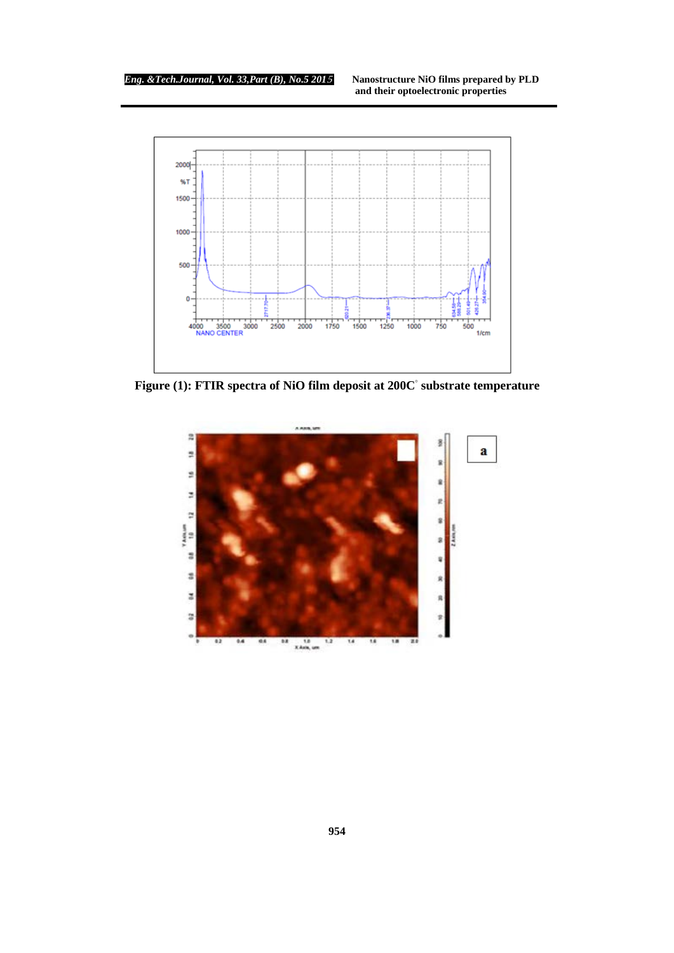

 **Figure (1): FTIR spectra of NiO film deposit at 200C◦ substrate temperature**

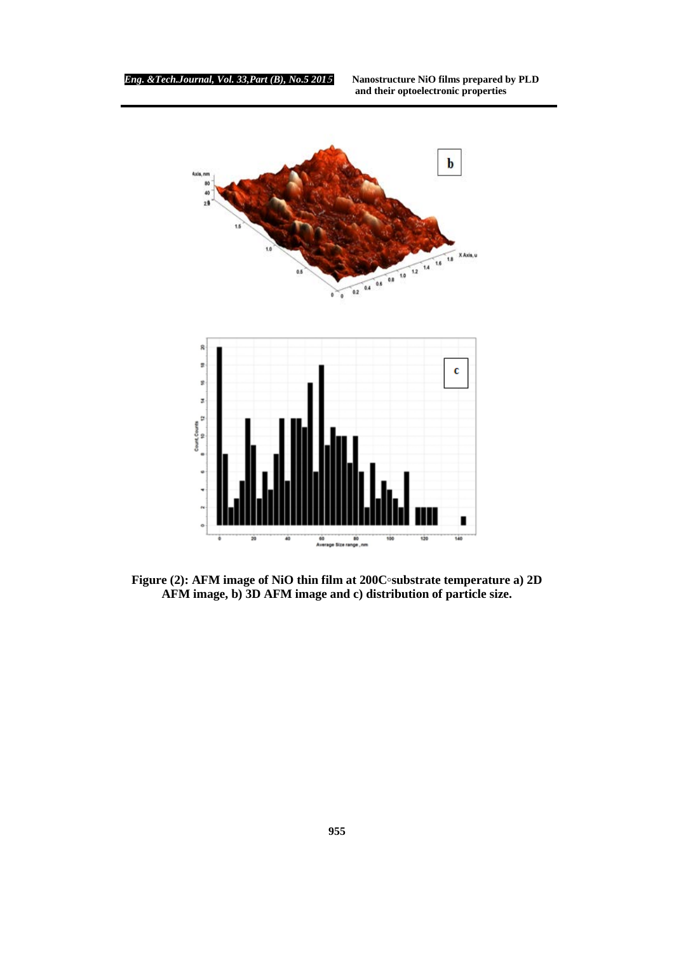

**Figure (2): AFM image of NiO thin film at 200C◦substrate temperature a) 2D AFM image, b) 3D AFM image and c) distribution of particle size.**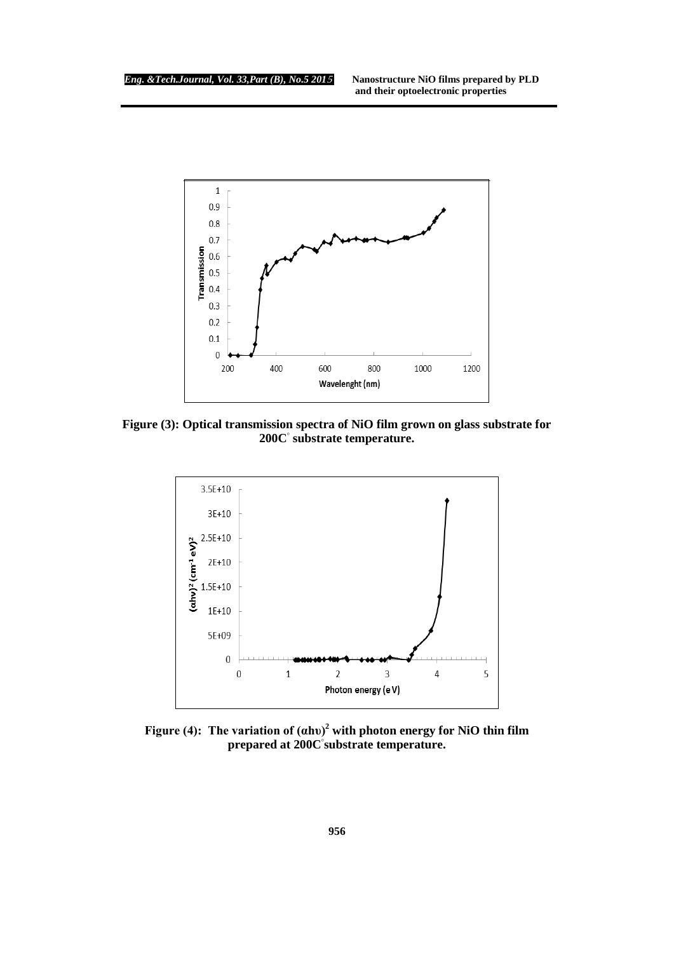

**Figure (3): Optical transmission spectra of NiO film grown on glass substrate for 200C◦ substrate temperature.**



**Figure (4): The variation of (αhυ)<sup>2</sup> with photon energy for NiO thin film prepared at 200C◦ substrate temperature.**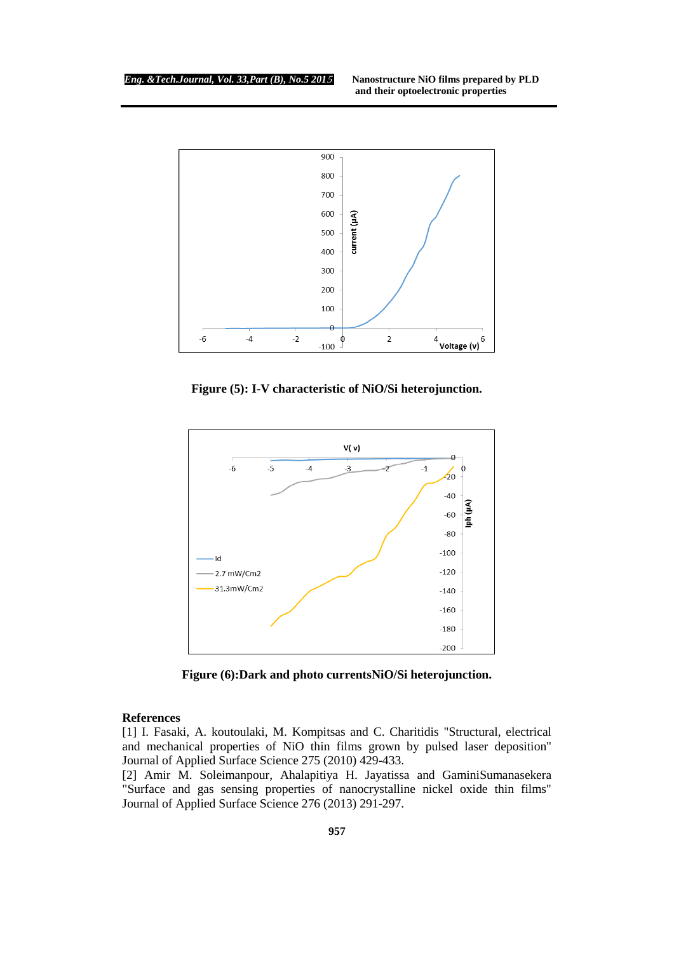

**Figure (5): I-V characteristic of NiO/Si heterojunction.**



**Figure (6):Dark and photo currentsNiO/Si heterojunction.**

#### **References**

[1] I. Fasaki, A. koutoulaki, M. Kompitsas and C. Charitidis "Structural, electrical and mechanical properties of NiO thin films grown by pulsed laser deposition" Journal of Applied Surface Science 275 (2010) 429-433.

[2] Amir M. Soleimanpour, Ahalapitiya H. Jayatissa and GaminiSumanasekera "Surface and gas sensing properties of nanocrystalline nickel oxide thin films" Journal of Applied Surface Science 276 (2013) 291-297.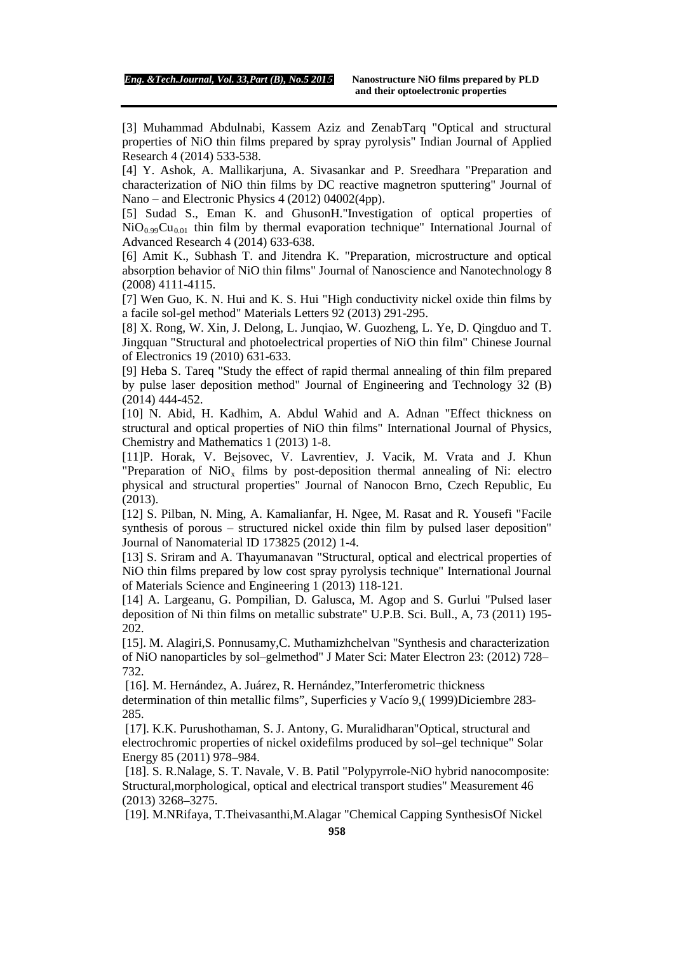[3] Muhammad Abdulnabi, Kassem Aziz and ZenabTarq "Optical and structural properties of NiO thin films prepared by spray pyrolysis" Indian Journal of Applied Research 4 (2014) 533-538.

[4] Y. Ashok, A. Mallikarjuna, A. Sivasankar and P. Sreedhara "Preparation and characterization of NiO thin films by DC reactive magnetron sputtering" Journal of Nano – and Electronic Physics 4 (2012) 04002(4pp).

[5] Sudad S., Eman K. and GhusonH."Investigation of optical properties of  $NiO<sub>0.99</sub>Cu<sub>0.01</sub>$  thin film by thermal evaporation technique" International Journal of Advanced Research 4 (2014) 633-638.

[6] Amit K., Subhash T. and Jitendra K. "Preparation, microstructure and optical absorption behavior of NiO thin films" Journal of Nanoscience and Nanotechnology 8 (2008) 4111-4115.

[7] Wen Guo, K. N. Hui and K. S. Hui "High conductivity nickel oxide thin films by a facile sol-gel method" Materials Letters 92 (2013) 291-295.

[8] X. Rong, W. Xin, J. Delong, L. Junqiao, W. Guozheng, L. Ye, D. Qingduo and T. Jingquan "Structural and photoelectrical properties of NiO thin film" Chinese Journal of Electronics 19 (2010) 631-633.

[9] Heba S. Tareq "Study the effect of rapid thermal annealing of thin film prepared by pulse laser deposition method" Journal of Engineering and Technology 32 (B) (2014) 444-452.

[10] N. Abid, H. Kadhim, A. Abdul Wahid and A. Adnan "Effect thickness on structural and optical properties of NiO thin films" International Journal of Physics, Chemistry and Mathematics 1 (2013) 1-8.

[11]P. Horak, V. Bejsovec, V. Lavrentiev, J. Vacik, M. Vrata and J. Khun "Preparation of  $NiO<sub>x</sub>$  films by post-deposition thermal annealing of Ni: electro physical and structural properties" Journal of Nanocon Brno, Czech Republic, Eu (2013).

[12] S. Pilban, N. Ming, A. Kamalianfar, H. Ngee, M. Rasat and R. Yousefi "Facile synthesis of porous – structured nickel oxide thin film by pulsed laser deposition" Journal of Nanomaterial ID 173825 (2012) 1-4.

[13] S. Sriram and A. Thayumanavan "Structural, optical and electrical properties of NiO thin films prepared by low cost spray pyrolysis technique" International Journal of Materials Science and Engineering 1 (2013) 118-121.

[14] A. Largeanu, G. Pompilian, D. Galusca, M. Agop and S. Gurlui "Pulsed laser deposition of Ni thin films on metallic substrate" U.P.B. Sci. Bull., A, 73 (2011) 195- 202.

[15]. M. Alagiri,S. Ponnusamy,C. Muthamizhchelvan "Synthesis and characterization of NiO nanoparticles by sol–gelmethod" J Mater Sci: Mater Electron 23: (2012) 728– 732.

[16]. M. Hernández, A. Juárez, R. Hernández,"Interferometric thickness determination of thin metallic films", Superficies y Vacío 9,( 1999)Diciembre 283- 285.

[17]. K.K. Purushothaman, S. J. Antony, G. Muralidharan"Optical, structural and electrochromic properties of nickel oxidefilms produced by sol–gel technique" Solar Energy 85 (2011) 978–984.

[18]. S. R.Nalage, S. T. Navale, V. B. Patil "Polypyrrole-NiO hybrid nanocomposite: Structural,morphological, optical and electrical transport studies" Measurement 46 (2013) 3268–3275.

[19]. M.NRifaya, T.Theivasanthi,M.Alagar "Chemical Capping SynthesisOf Nickel